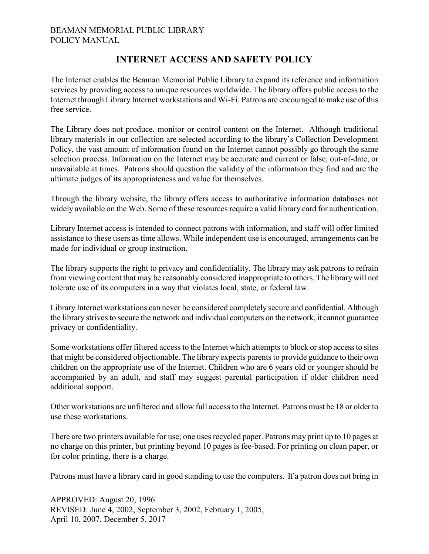## BEAMAN MEMORIAL PUBLIC LIBRARY POLICY MANUAL

## **INTERNET ACCESS AND SAFETY POLICY**

The Internet enables the Beaman Memorial Public Library to expand its reference and information services by providing access to unique resources worldwide. The library offers public access to the Internet through Library Internet workstations and Wi-Fi. Patrons are encouraged to make use of this free service.

The Library does not produce, monitor or control content on the Internet. Although traditional library materials in our collection are selected according to the library's Collection Development Policy, the vast amount of information found on the Internet cannot possibly go through the same selection process. Information on the Internet may be accurate and current or false, out-of-date, or unavailable at times. Patrons should question the validity of the information they find and are the ultimate judges of its appropriateness and value for themselves.

Through the library website, the library offers access to authoritative information databases not widely available on the Web. Some of these resources require a valid library card for authentication.

Library Internet access is intended to connect patrons with information, and staff will offer limited assistance to these users as time allows. While independent use is encouraged, arrangements can be made for individual or group instruction.

The library supports the right to privacy and confidentiality. The library may ask patrons to refrain from viewing content that may be reasonably considered inappropriate to others. The library will not tolerate use of its computers in a way that violates local, state, or federal law.

Library Internet workstations can never be considered completely secure and confidential. Although the library strives to secure the network and individual computers on the network, it cannot guarantee privacy or confidentiality.

Some workstations offer filtered access to the Internet which attempts to block or stop access to sites that might be considered objectionable. The library expects parents to provide guidance to their own children on the appropriate use of the Internet. Children who are 6 years old or younger should be accompanied by an adult, and staff may suggest parental participation if older children need additional support.

Other workstations are unfiltered and allow full access to the Internet. Patrons must be 18 or older to use these workstations.

There are two printers available for use; one uses recycled paper. Patrons may print up to 10 pages at no charge on this printer, but printing beyond 10 pages is fee-based. For printing on clean paper, or for color printing, there is a charge.

Patrons must have a library card in good standing to use the computers. If a patron does not bring in

APPROVED: August 20, 1996 REVISED: June 4, 2002, September 3, 2002, February 1, 2005, April 10, 2007, December 5, 2017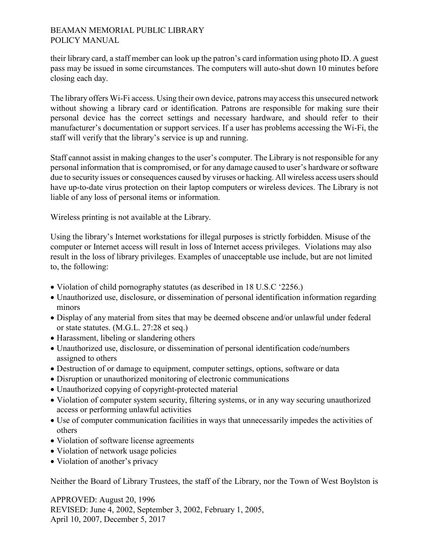## BEAMAN MEMORIAL PUBLIC LIBRARY POLICY MANUAL

their library card, a staff member can look up the patron's card information using photo ID. A guest pass may be issued in some circumstances. The computers will auto-shut down 10 minutes before closing each day.

The library offers Wi-Fi access. Using their own device, patrons may access this unsecured network without showing a library card or identification. Patrons are responsible for making sure their personal device has the correct settings and necessary hardware, and should refer to their manufacturer's documentation or support services. If a user has problems accessing the Wi-Fi, the staff will verify that the library's service is up and running.

Staff cannot assist in making changes to the user's computer. The Library is not responsible for any personal information that is compromised, or for any damage caused to user's hardware or software due to security issues or consequences caused by viruses or hacking. All wireless access users should have up-to-date virus protection on their laptop computers or wireless devices. The Library is not liable of any loss of personal items or information.

Wireless printing is not available at the Library.

Using the library's Internet workstations for illegal purposes is strictly forbidden. Misuse of the computer or Internet access will result in loss of Internet access privileges. Violations may also result in the loss of library privileges. Examples of unacceptable use include, but are not limited to, the following:

- Violation of child pornography statutes (as described in 18 U.S.C '2256.)
- Unauthorized use, disclosure, or dissemination of personal identification information regarding minors
- Display of any material from sites that may be deemed obscene and/or unlawful under federal or state statutes. (M.G.L. 27:28 et seq.)
- Harassment, libeling or slandering others
- Unauthorized use, disclosure, or dissemination of personal identification code/numbers assigned to others
- Destruction of or damage to equipment, computer settings, options, software or data
- Disruption or unauthorized monitoring of electronic communications
- Unauthorized copying of copyright-protected material
- Violation of computer system security, filtering systems, or in any way securing unauthorized access or performing unlawful activities
- Use of computer communication facilities in ways that unnecessarily impedes the activities of others
- Violation of software license agreements
- Violation of network usage policies
- Violation of another's privacy

Neither the Board of Library Trustees, the staff of the Library, nor the Town of West Boylston is

APPROVED: August 20, 1996 REVISED: June 4, 2002, September 3, 2002, February 1, 2005, April 10, 2007, December 5, 2017